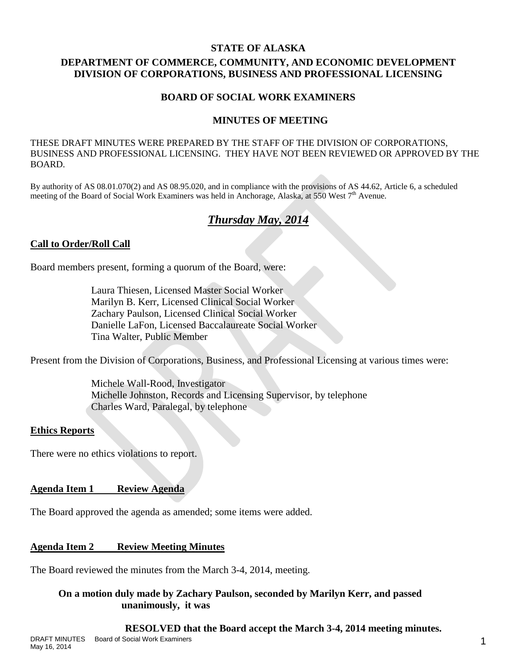#### **STATE OF ALASKA**

# **DEPARTMENT OF COMMERCE, COMMUNITY, AND ECONOMIC DEVELOPMENT DIVISION OF CORPORATIONS, BUSINESS AND PROFESSIONAL LICENSING**

## **BOARD OF SOCIAL WORK EXAMINERS**

## **MINUTES OF MEETING**

THESE DRAFT MINUTES WERE PREPARED BY THE STAFF OF THE DIVISION OF CORPORATIONS, BUSINESS AND PROFESSIONAL LICENSING. THEY HAVE NOT BEEN REVIEWED OR APPROVED BY THE BOARD.

By authority of AS 08.01.070(2) and AS 08.95.020, and in compliance with the provisions of AS 44.62, Article 6, a scheduled meeting of the Board of Social Work Examiners was held in Anchorage, Alaska, at 550 West 7<sup>th</sup> Avenue.

# *Thursday May, 2014*

## **Call to Order/Roll Call**

Board members present, forming a quorum of the Board, were:

Laura Thiesen, Licensed Master Social Worker Marilyn B. Kerr, Licensed Clinical Social Worker Zachary Paulson, Licensed Clinical Social Worker Danielle LaFon, Licensed Baccalaureate Social Worker Tina Walter, Public Member

Present from the Division of Corporations, Business, and Professional Licensing at various times were:

Michele Wall-Rood, Investigator Michelle Johnston, Records and Licensing Supervisor, by telephone Charles Ward, Paralegal, by telephone

### **Ethics Reports**

There were no ethics violations to report.

**Agenda Item 1 Review Agenda**

The Board approved the agenda as amended; some items were added.

### **Agenda Item 2 Review Meeting Minutes**

The Board reviewed the minutes from the March 3-4, 2014, meeting.

## **On a motion duly made by Zachary Paulson, seconded by Marilyn Kerr, and passed unanimously, it was**

### **RESOLVED that the Board accept the March 3-4, 2014 meeting minutes.**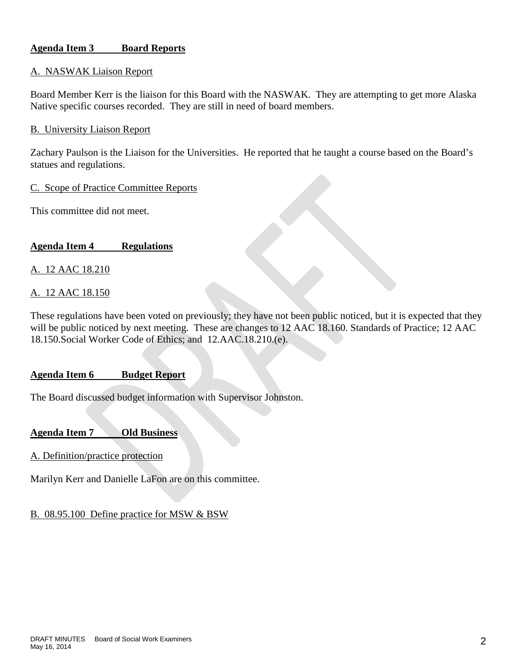## **Agenda Item 3 Board Reports**

#### A. NASWAK Liaison Report

Board Member Kerr is the liaison for this Board with the NASWAK. They are attempting to get more Alaska Native specific courses recorded. They are still in need of board members.

#### B. University Liaison Report

Zachary Paulson is the Liaison for the Universities. He reported that he taught a course based on the Board's statues and regulations.

#### C. Scope of Practice Committee Reports

This committee did not meet.

## **Agenda Item 4 Regulations**

A. 12 AAC 18.210

#### A. 12 AAC 18.150

These regulations have been voted on previously; they have not been public noticed, but it is expected that they will be public noticed by next meeting. These are changes to 12 AAC 18.160. Standards of Practice; 12 AAC 18.150.Social Worker Code of Ethics; and 12.AAC.18.210.(e).

### **Agenda Item 6 Budget Report**

The Board discussed budget information with Supervisor Johnston.

### **Agenda Item 7 Old Business**

A. Definition/practice protection

Marilyn Kerr and Danielle LaFon are on this committee.

### B. 08.95.100 Define practice for MSW & BSW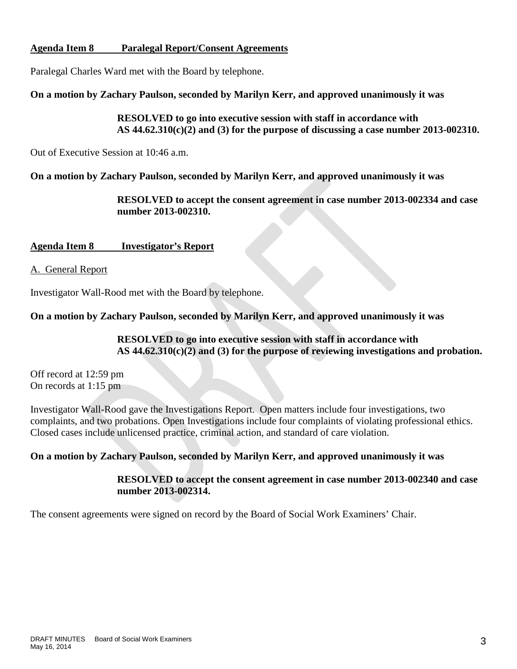## **Agenda Item 8 Paralegal Report/Consent Agreements**

Paralegal Charles Ward met with the Board by telephone.

**On a motion by Zachary Paulson, seconded by Marilyn Kerr, and approved unanimously it was**

**RESOLVED to go into executive session with staff in accordance with AS 44.62.310(c)(2) and (3) for the purpose of discussing a case number 2013-002310.**

Out of Executive Session at 10:46 a.m.

**On a motion by Zachary Paulson, seconded by Marilyn Kerr, and approved unanimously it was**

**RESOLVED to accept the consent agreement in case number 2013-002334 and case number 2013-002310.**

# **Agenda Item 8 Investigator's Report**

A. General Report

Investigator Wall-Rood met with the Board by telephone.

**On a motion by Zachary Paulson, seconded by Marilyn Kerr, and approved unanimously it was**

**RESOLVED to go into executive session with staff in accordance with AS 44.62.310(c)(2) and (3) for the purpose of reviewing investigations and probation.**

Off record at 12:59 pm On records at 1:15 pm

Investigator Wall-Rood gave the Investigations Report. Open matters include four investigations, two complaints, and two probations. Open Investigations include four complaints of violating professional ethics. Closed cases include unlicensed practice, criminal action, and standard of care violation.

# **On a motion by Zachary Paulson, seconded by Marilyn Kerr, and approved unanimously it was**

**RESOLVED to accept the consent agreement in case number 2013-002340 and case number 2013-002314.**

The consent agreements were signed on record by the Board of Social Work Examiners' Chair.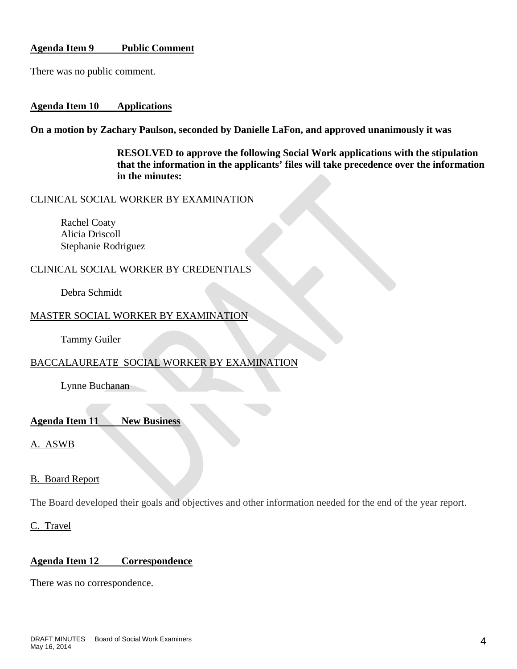## **Agenda Item 9 Public Comment**

There was no public comment.

#### **Agenda Item 10 Applications**

**On a motion by Zachary Paulson, seconded by Danielle LaFon, and approved unanimously it was**

**RESOLVED to approve the following Social Work applications with the stipulation that the information in the applicants' files will take precedence over the information in the minutes:**

#### CLINICAL SOCIAL WORKER BY EXAMINATION

Rachel Coaty Alicia Driscoll Stephanie Rodriguez

### CLINICAL SOCIAL WORKER BY CREDENTIALS

Debra Schmidt

### MASTER SOCIAL WORKER BY EXAMINATION

Tammy Guiler

# BACCALAUREATE SOCIAL WORKER BY EXAMINATION

Lynne Buchanan

#### **Agenda Item 11 New Business**

A. ASWB

### B. Board Report

The Board developed their goals and objectives and other information needed for the end of the year report.

C. Travel

### **Agenda Item 12 Correspondence**

There was no correspondence.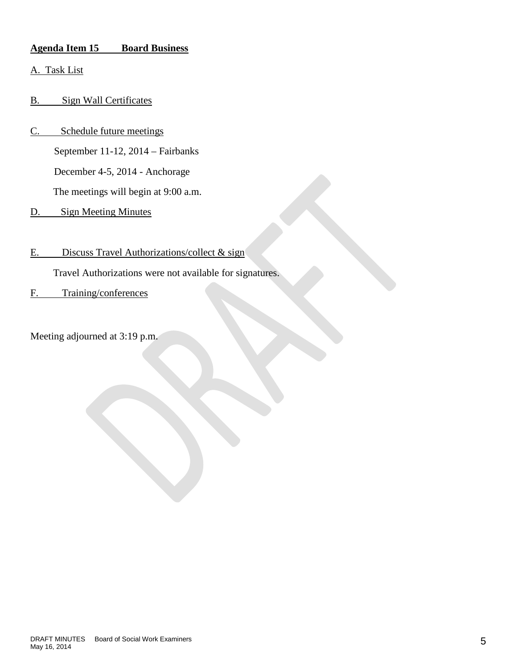# **Agenda Item 15 Board Business**

- A. Task List
- B. Sign Wall Certificates
- C. Schedule future meetings September 11-12, 2014 – Fairbanks December 4-5, 2014 - Anchorage The meetings will begin at 9:00 a.m.
- D. Sign Meeting Minutes
- E. Discuss Travel Authorizations/collect & sign

Travel Authorizations were not available for signatures.

F. Training/conferences

Meeting adjourned at 3:19 p.m.